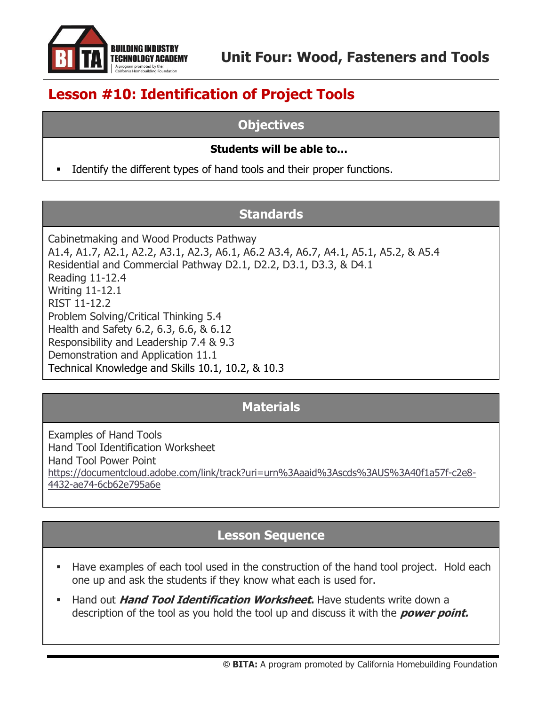

# **Lesson #10: Identification of Project Tools**

# **Objectives**

#### **Students will be able to…**

Identify the different types of hand tools and their proper functions.

# **Standards**

Cabinetmaking and Wood Products Pathway A1.4, A1.7, A2.1, A2.2, A3.1, A2.3, A6.1, A6.2 A3.4, A6.7, A4.1, A5.1, A5.2, & A5.4 Residential and Commercial Pathway D2.1, D2.2, D3.1, D3.3, & D4.1 Reading 11-12.4 Writing 11-12.1 RIST 11-12.2 Problem Solving/Critical Thinking 5.4 Health and Safety 6.2, 6.3, 6.6, & 6.12 Responsibility and Leadership 7.4 & 9.3 Demonstration and Application 11.1 Technical Knowledge and Skills 10.1, 10.2, & 10.3

# **Materials**

Examples of Hand Tools Hand Tool Identification Worksheet Hand Tool Power Point [https://documentcloud.adobe.com/link/track?uri=urn%3Aaaid%3Ascds%3AUS%3A40f1a57f-c2e8-](https://documentcloud.adobe.com/link/track?uri=urn%3Aaaid%3Ascds%3AUS%3A40f1a57f-c2e8-4432-ae74-6cb62e795a6e) [4432-ae74-6cb62e795a6e](https://documentcloud.adobe.com/link/track?uri=urn%3Aaaid%3Ascds%3AUS%3A40f1a57f-c2e8-4432-ae74-6cb62e795a6e)

# **Lesson Sequence**

- Have examples of each tool used in the construction of the hand tool project. Hold each one up and ask the students if they know what each is used for.
- Hand out **Hand Tool Identification Worksheet.** Have students write down a description of the tool as you hold the tool up and discuss it with the **power point.**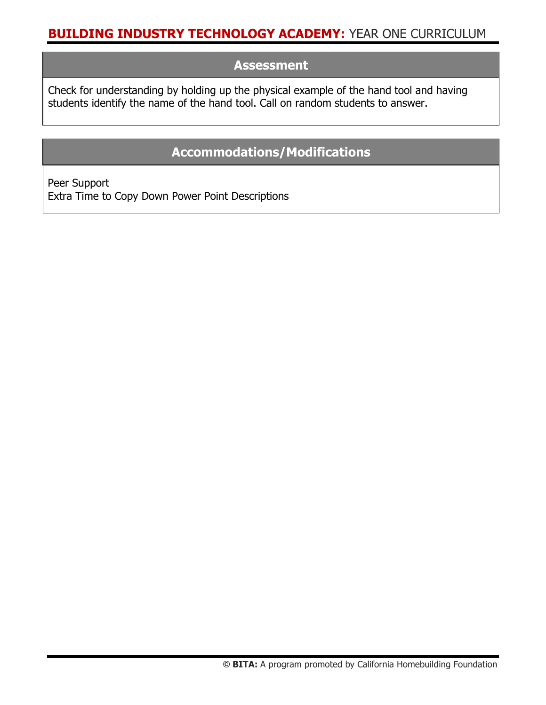#### **Assessment**

Check for understanding by holding up the physical example of the hand tool and having students identify the name of the hand tool. Call on random students to answer.

# **Accommodations/Modifications**

Peer Support Extra Time to Copy Down Power Point Descriptions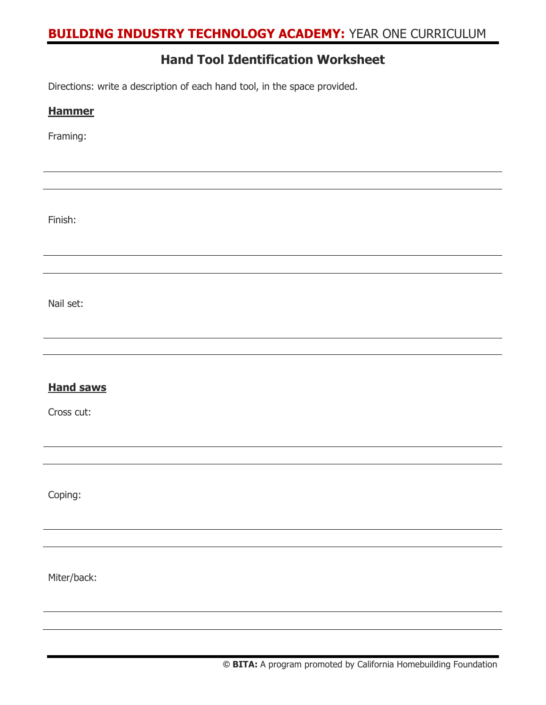#### **Hand Tool Identification Worksheet**

Directions: write a description of each hand tool, in the space provided.

| <b>Hammer</b>    |
|------------------|
| Framing:         |
|                  |
|                  |
| Finish:          |
|                  |
| Nail set:        |
|                  |
|                  |
| <b>Hand saws</b> |
| Cross cut:       |
|                  |
|                  |
| Coping:          |
|                  |
|                  |
| Miter/back:      |
|                  |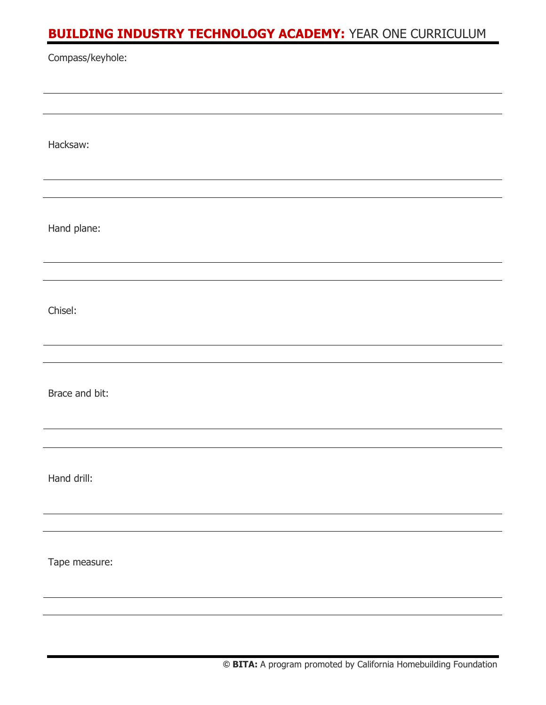| Compass/keyhole: |  |  |
|------------------|--|--|
|                  |  |  |
| Hacksaw:         |  |  |
|                  |  |  |
| Hand plane:      |  |  |
|                  |  |  |
| Chisel:          |  |  |
|                  |  |  |
| Brace and bit:   |  |  |
|                  |  |  |
| Hand drill:      |  |  |
|                  |  |  |
| Tape measure:    |  |  |
|                  |  |  |
|                  |  |  |